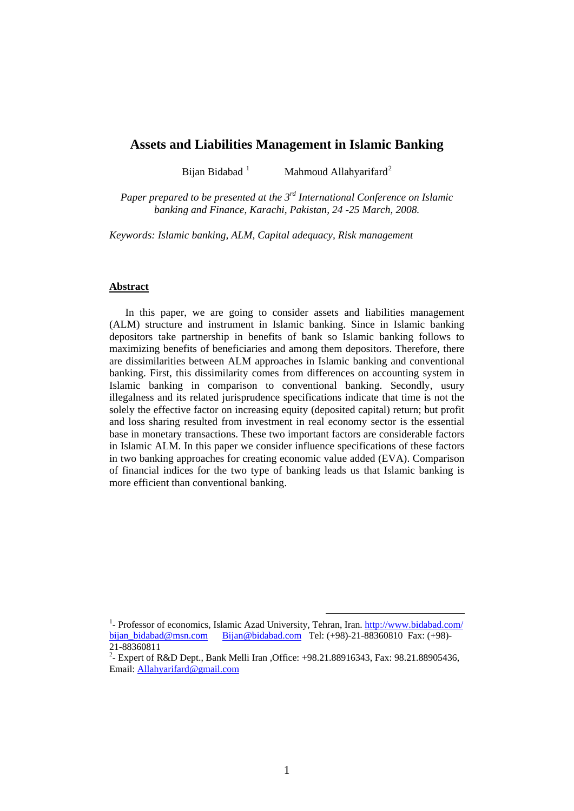# **Assets and Liabilities Management in Islamic Banking**

Bijan Bidabad<sup>[1](#page-0-0)</sup> Mahmoud Allahyarifard<sup>[2](#page-0-1)</sup>

*Paper prepared to be presented at the 3rd International Conference on Islamic banking and Finance, Karachi, Pakistan, 24 -25 March, 2008.* 

*Keywords: Islamic banking, ALM, Capital adequacy, Risk management* 

### **Abstract**

 In this paper, we are going to consider assets and liabilities management (ALM) structure and instrument in Islamic banking. Since in Islamic banking depositors take partnership in benefits of bank so Islamic banking follows to maximizing benefits of beneficiaries and among them depositors. Therefore, there are dissimilarities between ALM approaches in Islamic banking and conventional banking. First, this dissimilarity comes from differences on accounting system in Islamic banking in comparison to conventional banking. Secondly, usury illegalness and its related jurisprudence specifications indicate that time is not the solely the effective factor on increasing equity (deposited capital) return; but profit and loss sharing resulted from investment in real economy sector is the essential base in monetary transactions. These two important factors are considerable factors in Islamic ALM. In this paper we consider influence specifications of these factors in two banking approaches for creating economic value added (EVA). Comparison of financial indices for the two type of banking leads us that Islamic banking is more efficient than conventional banking.

<span id="page-0-0"></span><sup>&</sup>lt;sup>1</sup> Professor of economics, Islamic Azad University, Tehran, Iran. <http://www.bidabad.com/> [bijan\\_bidabad@msn.com](mailto:bijan_bidabad@msn.com) [Bijan@bidabad.com](mailto:Bijan@bidabad.com) Tel: (+98)-21-88360810 Fax: (+98)- 21-88360811

<span id="page-0-1"></span><sup>&</sup>lt;sup>2</sup>- Expert of R&D Dept., Bank Melli Iran , Office: +98.21.88916343, Fax: 98.21.88905436, Email: [Allahyarifard@gmail.com](mailto:Allahyarifard@gmail.com)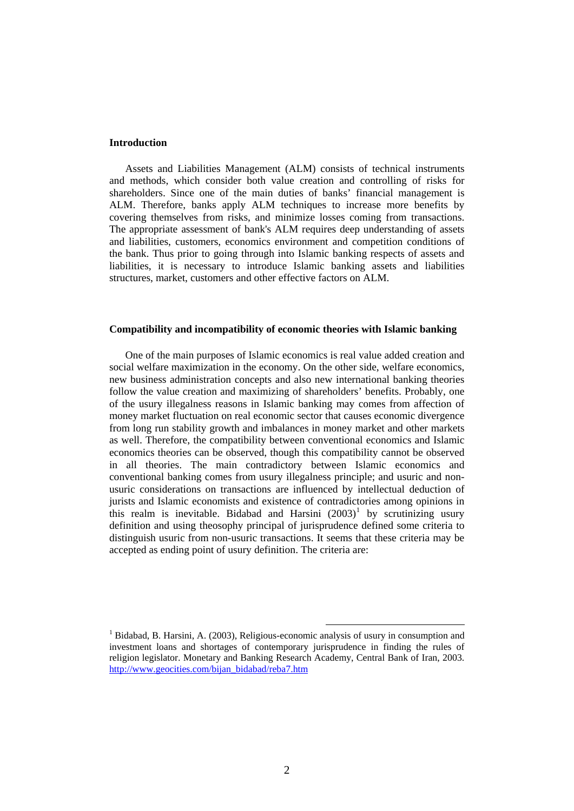#### **Introduction**

 Assets and Liabilities Management (ALM) consists of technical instruments and methods, which consider both value creation and controlling of risks for shareholders. Since one of the main duties of banks' financial management is ALM. Therefore, banks apply ALM techniques to increase more benefits by covering themselves from risks, and minimize losses coming from transactions. The appropriate assessment of bank's ALM requires deep understanding of assets and liabilities, customers, economics environment and competition conditions of the bank. Thus prior to going through into Islamic banking respects of assets and liabilities, it is necessary to introduce Islamic banking assets and liabilities structures, market, customers and other effective factors on ALM.

#### **Compatibility and incompatibility of economic theories with Islamic banking**

 One of the main purposes of Islamic economics is real value added creation and social welfare maximization in the economy. On the other side, welfare economics, new business administration concepts and also new international banking theories follow the value creation and maximizing of shareholders' benefits. Probably, one of the usury illegalness reasons in Islamic banking may comes from affection of money market fluctuation on real economic sector that causes economic divergence from long run stability growth and imbalances in money market and other markets as well. Therefore, the compatibility between conventional economics and Islamic economics theories can be observed, though this compatibility cannot be observed in all theories. The main contradictory between Islamic economics and conventional banking comes from usury illegalness principle; and usuric and nonusuric considerations on transactions are influenced by intellectual deduction of jurists and Islamic economists and existence of contradictories among opinions in this realm is inevitable. Bidabad and Harsini  $(2003)^1$  $(2003)^1$  by scrutinizing usury definition and using theosophy principal of jurisprudence defined some criteria to distinguish usuric from non-usuric transactions. It seems that these criteria may be accepted as ending point of usury definition. The criteria are:

<span id="page-1-0"></span> <sup>1</sup> Bidabad, B. Harsini, A. (2003), Religious-economic analysis of usury in consumption and investment loans and shortages of contemporary jurisprudence in finding the rules of religion legislator. Monetary and Banking Research Academy, Central Bank of Iran, 2003. [http://www.geocities.com/bijan\\_bidabad/reba7.htm](http://www.geocities.com/bijan_bidabad/reba7.htm)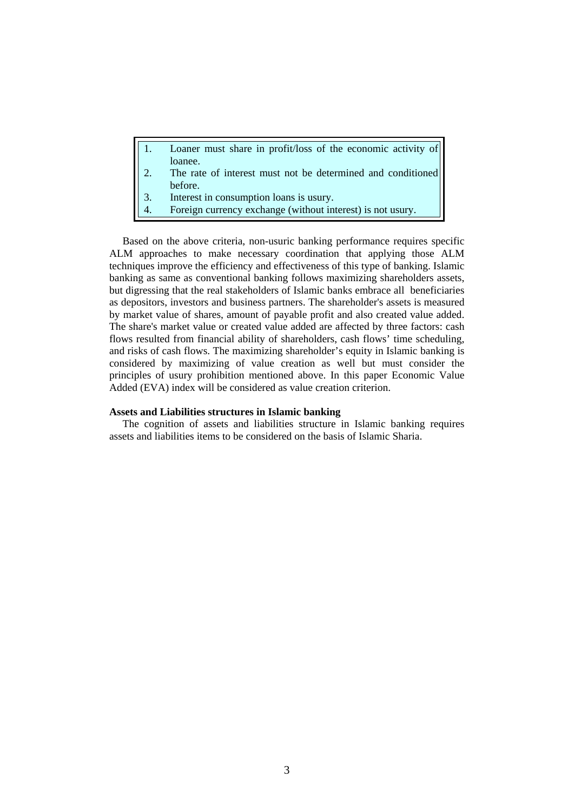|                  | Loaner must share in profit/loss of the economic activity of |
|------------------|--------------------------------------------------------------|
|                  | loanee.                                                      |
| $\vert 2. \vert$ | The rate of interest must not be determined and conditioned  |

- before.
- 3. Interest in consumption loans is usury.
- 4. Foreign currency exchange (without interest) is not usury.

 Based on the above criteria, non-usuric banking performance requires specific ALM approaches to make necessary coordination that applying those ALM techniques improve the efficiency and effectiveness of this type of banking. Islamic banking as same as conventional banking follows maximizing shareholders assets, but digressing that the real stakeholders of Islamic banks embrace all beneficiaries as depositors, investors and business partners. The shareholder's assets is measured by market value of shares, amount of payable profit and also created value added. The share's market value or created value added are affected by three factors: cash flows resulted from financial ability of shareholders, cash flows' time scheduling, and risks of cash flows. The maximizing shareholder's equity in Islamic banking is considered by maximizing of value creation as well but must consider the principles of usury prohibition mentioned above. In this paper Economic Value Added (EVA) index will be considered as value creation criterion.

## **Assets and Liabilities structures in Islamic banking**

 The cognition of assets and liabilities structure in Islamic banking requires assets and liabilities items to be considered on the basis of Islamic Sharia.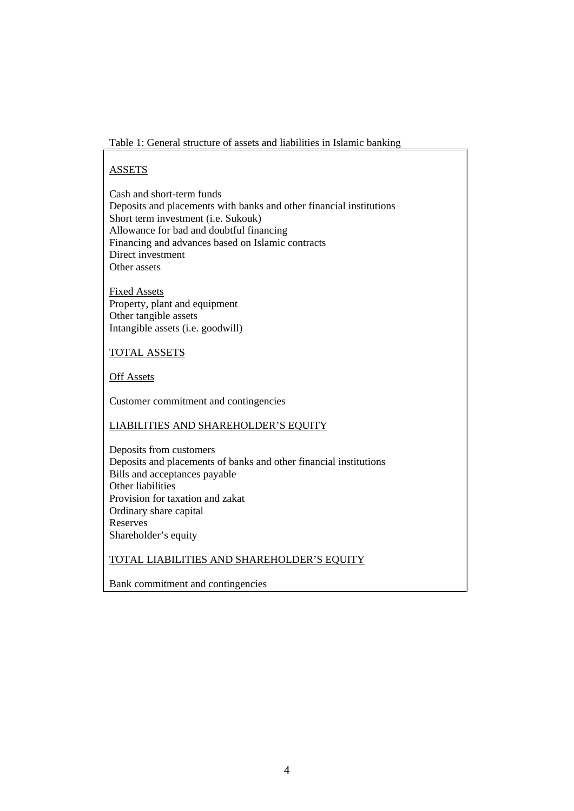Table 1: General structure of assets and liabilities in Islamic banking

# ASSETS

Cash and short-term funds Deposits and placements with banks and other financial institutions Short term investment (i.e. Sukouk) Allowance for bad and doubtful financing Financing and advances based on Islamic contracts Direct investment Other assets

Fixed Assets Property, plant and equipment Other tangible assets Intangible assets (i.e. goodwill)

# TOTAL ASSETS

Off Assets

Customer commitment and contingencies

# LIABILITIES AND SHAREHOLDER'S EQUITY

Deposits from customers Deposits and placements of banks and other financial institutions Bills and acceptances payable Other liabilities Provision for taxation and zakat Ordinary share capital Reserves Shareholder's equity

## TOTAL LIABILITIES AND SHAREHOLDER'S EQUITY

Bank commitment and contingencies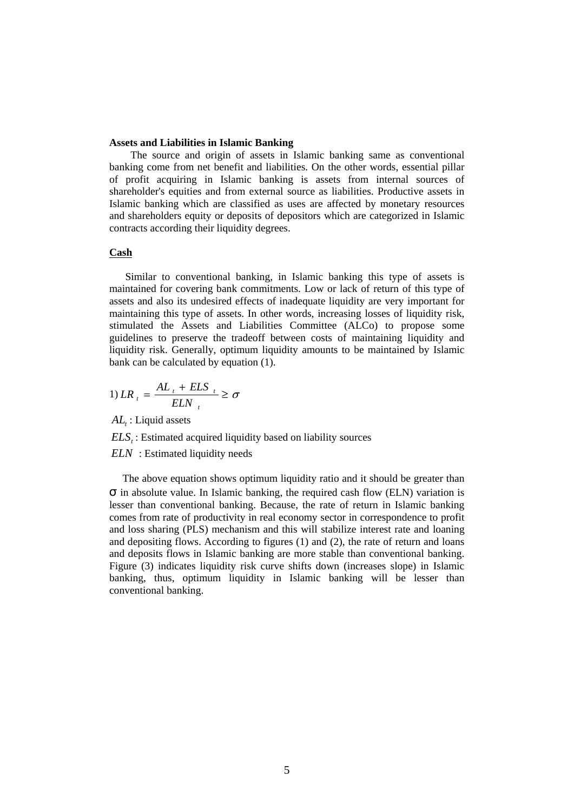#### **Assets and Liabilities in Islamic Banking**

 The source and origin of assets in Islamic banking same as conventional banking come from net benefit and liabilities. On the other words, essential pillar of profit acquiring in Islamic banking is assets from internal sources of shareholder's equities and from external source as liabilities. Productive assets in Islamic banking which are classified as uses are affected by monetary resources and shareholders equity or deposits of depositors which are categorized in Islamic contracts according their liquidity degrees.

## **Cash**

 Similar to conventional banking, in Islamic banking this type of assets is maintained for covering bank commitments. Low or lack of return of this type of assets and also its undesired effects of inadequate liquidity are very important for maintaining this type of assets. In other words, increasing losses of liquidity risk, stimulated the Assets and Liabilities Committee (ALCo) to propose some guidelines to preserve the tradeoff between costs of maintaining liquidity and liquidity risk. Generally, optimum liquidity amounts to be maintained by Islamic bank can be calculated by equation (1).

$$
1) LR_{t} = \frac{AL_{t} + ELS_{t}}{ELN_{t}} \ge \sigma
$$

*AL*: Liquid assets

*ELS*<sub>*i*</sub>: Estimated acquired liquidity based on liability sources

*ELN* : Estimated liquidity needs

 The above equation shows optimum liquidity ratio and it should be greater than σ in absolute value. In Islamic banking, the required cash flow (ELN) variation is lesser than conventional banking. Because, the rate of return in Islamic banking comes from rate of productivity in real economy sector in correspondence to profit and loss sharing (PLS) mechanism and this will stabilize interest rate and loaning and depositing flows. According to figures (1) and (2), the rate of return and loans and deposits flows in Islamic banking are more stable than conventional banking. Figure (3) indicates liquidity risk curve shifts down (increases slope) in Islamic banking, thus, optimum liquidity in Islamic banking will be lesser than conventional banking.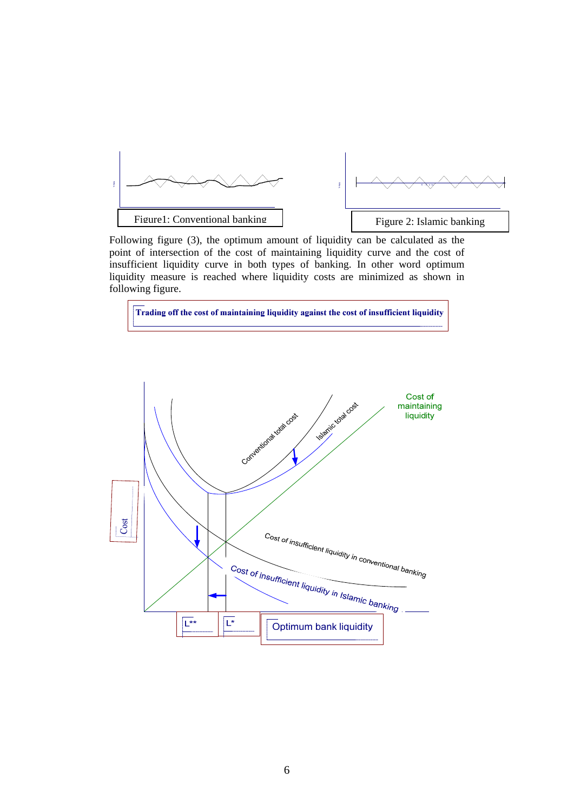

Following figure (3), the optimum amount of liquidity can be calculated as the point of intersection of the cost of maintaining liquidity curve and the cost of insufficient liquidity curve in both types of banking. In other word optimum liquidity measure is reached where liquidity costs are minimized as shown in following figure.



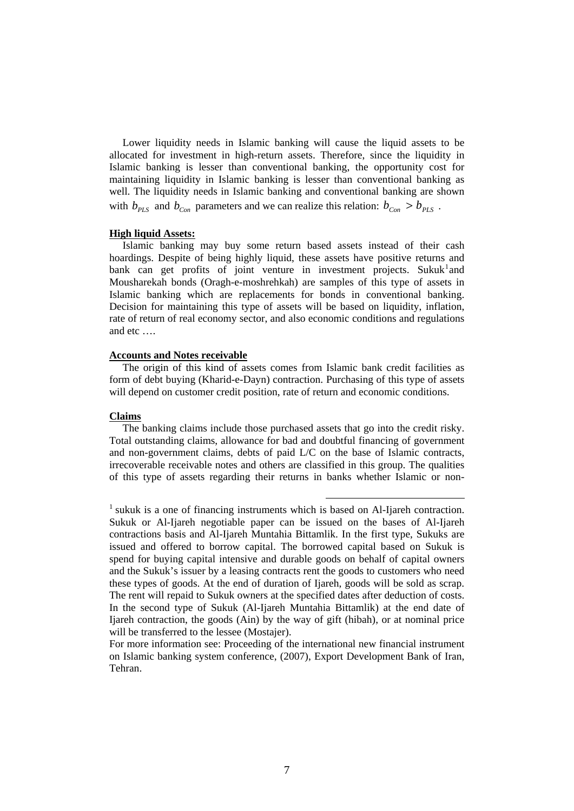Lower liquidity needs in Islamic banking will cause the liquid assets to be allocated for investment in high-return assets. Therefore, since the liquidity in Islamic banking is lesser than conventional banking, the opportunity cost for maintaining liquidity in Islamic banking is lesser than conventional banking as well. The liquidity needs in Islamic banking and conventional banking are shown with  $b_{PIS}$  and  $b_{Con}$  parameters and we can realize this relation:  $b_{Con} > b_{PIS}$ .

#### **High liquid Assets:**

 Islamic banking may buy some return based assets instead of their cash hoardings. Despite of being highly liquid, these assets have positive returns and bank can get profits of joint venture in investment projects. Sukuk<sup>[1](#page-6-0)</sup> and Mousharekah bonds (Oragh-e-moshrehkah) are samples of this type of assets in Islamic banking which are replacements for bonds in conventional banking. Decision for maintaining this type of assets will be based on liquidity, inflation, rate of return of real economy sector, and also economic conditions and regulations and etc ….

### **Accounts and Notes receivable**

 The origin of this kind of assets comes from Islamic bank credit facilities as form of debt buying (Kharid-e-Dayn) contraction. Purchasing of this type of assets will depend on customer credit position, rate of return and economic conditions.

### **Claims**

 The banking claims include those purchased assets that go into the credit risky. Total outstanding claims, allowance for bad and doubtful financing of government and non-government claims, debts of paid L/C on the base of Islamic contracts, irrecoverable receivable notes and others are classified in this group. The qualities of this type of assets regarding their returns in banks whether Islamic or non-

<span id="page-6-0"></span><sup>&</sup>lt;sup>1</sup> sukuk is a one of financing instruments which is based on Al-Ijareh contraction. Sukuk or Al-Ijareh negotiable paper can be issued on the bases of Al-Ijareh contractions basis and Al-Ijareh Muntahia Bittamlik. In the first type, Sukuks are issued and offered to borrow capital. The borrowed capital based on Sukuk is spend for buying capital intensive and durable goods on behalf of capital owners and the Sukuk's issuer by a leasing contracts rent the goods to customers who need these types of goods. At the end of duration of Ijareh, goods will be sold as scrap. The rent will repaid to Sukuk owners at the specified dates after deduction of costs. In the second type of Sukuk (Al-Ijareh Muntahia Bittamlik) at the end date of Ijareh contraction, the goods (Ain) by the way of gift (hibah), or at nominal price will be transferred to the lessee (Mostajer).

For more information see: Proceeding of the international new financial instrument on Islamic banking system conference, (2007), Export Development Bank of Iran, Tehran.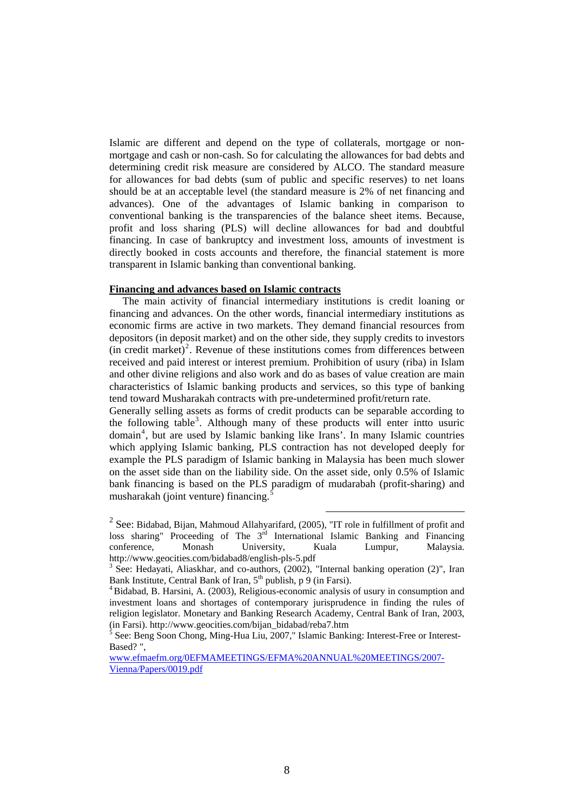Islamic are different and depend on the type of collaterals, mortgage or nonmortgage and cash or non-cash. So for calculating the allowances for bad debts and determining credit risk measure are considered by ALCO. The standard measure for allowances for bad debts (sum of public and specific reserves) to net loans should be at an acceptable level (the standard measure is 2% of net financing and advances). One of the advantages of Islamic banking in comparison to conventional banking is the transparencies of the balance sheet items. Because, profit and loss sharing (PLS) will decline allowances for bad and doubtful financing. In case of bankruptcy and investment loss, amounts of investment is directly booked in costs accounts and therefore, the financial statement is more transparent in Islamic banking than conventional banking.

#### **Financing and advances based on Islamic contracts**

 The main activity of financial intermediary institutions is credit loaning or financing and advances. On the other words, financial intermediary institutions as economic firms are active in two markets. They demand financial resources from depositors (in deposit market) and on the other side, they supply credits to investors  $(in \nvert \nvert$  redit market)<sup>[2](#page-7-0)</sup>. Revenue of these institutions comes from differences between received and paid interest or interest premium. Prohibition of usury (riba) in Islam and other divine religions and also work and do as bases of value creation are main characteristics of Islamic banking products and services, so this type of banking tend toward Musharakah contracts with pre-undetermined profit/return rate.

Generally selling assets as forms of credit products can be separable according to the following table<sup>[3](#page-7-1)</sup>. Although many of these products will enter intto usuric domain<sup>[4](#page-7-2)</sup>, but are used by Islamic banking like Irans'. In many Islamic countries which applying Islamic banking, PLS contraction has not developed deeply for example the PLS paradigm of Islamic banking in Malaysia has been much slower on the asset side than on the liability side. On the asset side, only 0.5% of Islamic bank financing is based on the PLS paradigm of mudarabah (profit-sharing) and musharakah (joint venture) financing.[5](#page-7-3)

<span id="page-7-0"></span><sup>2&</sup>lt;br>
2 See: Bidabad, Bijan, Mahmoud Allahyarifard, (2005), "IT role in fulfillment of profit and loss sharing" Proceeding of The  $3^{rd}$  International Islamic Banking and Financing conference, Monash University, Kuala Lumpur, Malaysia. [http://www.geocities.com/bidabad8/english-pls-5.pdf 3](http://www.geocities.com/bidabad8/english-pls-5.pdf)

<span id="page-7-1"></span><sup>&</sup>lt;sup>3</sup> See: Hedayati, Aliaskhar, and co-authors, (2002), "Internal banking operation (2)", Iran Bank Institute, Central Bank of Iran, 5<sup>th</sup> publish, p 9 (in Farsi).

<span id="page-7-2"></span> $4Bidabad, B. Harsini, A. (2003), Religious-economic analysis of usury in consumption and$ investment loans and shortages of contemporary jurisprudence in finding the rules of religion legislator. Monetary and Banking Research Academy, Central Bank of Iran, 2003, (in Farsi). [http://www.geocities.com/bijan\\_bidabad/reba7.htm](http://www.geocities.com/bijan_bidabad/reba7.htm) 5

<span id="page-7-3"></span><sup>&</sup>lt;sup>5</sup> See: Beng Soon Chong, Ming-Hua Liu, 2007," Islamic Banking: Interest-Free or Interest-Based? ",

[www.efmaefm.org/0EFMAMEETINGS/EFMA%20ANNUAL%20MEETINGS/2007-](http://www.efmaefm.org/0EFMAMEETINGS/EFMA%20ANNUAL%20MEETINGS/2007-Vienna/Papers/0019.pdf) [Vienna/Papers/0019.pdf](http://www.efmaefm.org/0EFMAMEETINGS/EFMA%20ANNUAL%20MEETINGS/2007-Vienna/Papers/0019.pdf)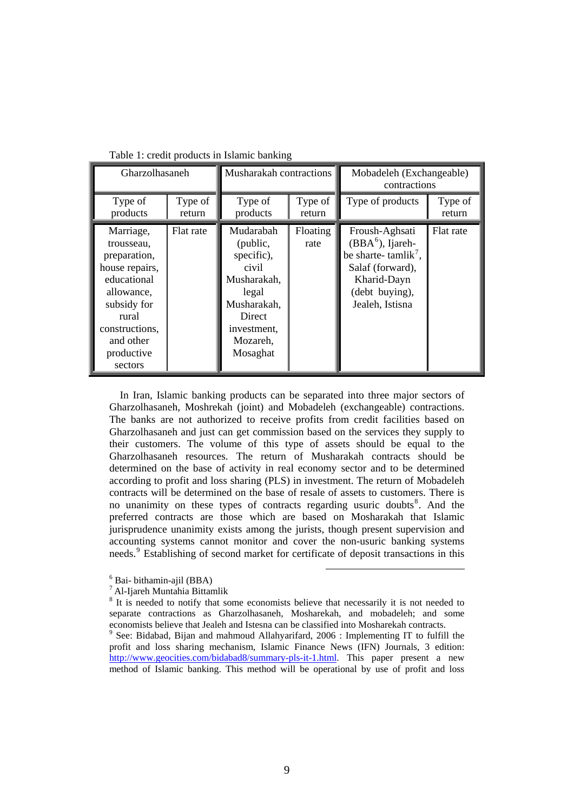| Gharzolhasaneh                                                                                                                                                         |                   | Musharakah contractions                                                                                                              |                   | Mobadeleh (Exchangeable)<br>contractions                                                                                                         |                   |  |
|------------------------------------------------------------------------------------------------------------------------------------------------------------------------|-------------------|--------------------------------------------------------------------------------------------------------------------------------------|-------------------|--------------------------------------------------------------------------------------------------------------------------------------------------|-------------------|--|
| Type of<br>products                                                                                                                                                    | Type of<br>return | Type of<br>products                                                                                                                  | Type of<br>return | Type of products                                                                                                                                 | Type of<br>return |  |
| Marriage,<br>trousseau,<br>preparation,<br>house repairs,<br>educational<br>allowance,<br>subsidy for<br>rural<br>constructions,<br>and other<br>productive<br>sectors | Flat rate         | Mudarabah<br>(public,<br>specific),<br>civil<br>Musharakah,<br>legal<br>Musharakah,<br>Direct<br>investment,<br>Mozareh,<br>Mosaghat | Floating<br>rate  | Froush-Aghsati<br>$(BBA^6)$ , Ijareh-<br>be sharte-tamlik <sup>7</sup> ,<br>Salaf (forward),<br>Kharid-Dayn<br>(debt buying),<br>Jealeh, Istisna | Flat rate         |  |

Table 1: credit products in Islamic banking

 In Iran, Islamic banking products can be separated into three major sectors of Gharzolhasaneh, Moshrekah (joint) and Mobadeleh (exchangeable) contractions. The banks are not authorized to receive profits from credit facilities based on Gharzolhasaneh and just can get commission based on the services they supply to their customers. The volume of this type of assets should be equal to the Gharzolhasaneh resources. The return of Musharakah contracts should be determined on the base of activity in real economy sector and to be determined according to profit and loss sharing (PLS) in investment. The return of Mobadeleh contracts will be determined on the base of resale of assets to customers. There is no unanimity on these types of contracts regarding usuric doubts<sup>[8](#page-8-2)</sup>. And the preferred contracts are those which are based on Mosharakah that Islamic jurisprudence unanimity exists among the jurists, though present supervision and accounting systems cannot monitor and cover the non-usuric banking systems needs.<sup>[9](#page-8-3)</sup> Establishing of second market for certificate of deposit transactions in this

 <sup>6</sup> Bai- bithamin-ajil (BBA)

<span id="page-8-1"></span><span id="page-8-0"></span><sup>7</sup> Al-Ijareh Muntahia Bittamlik

<span id="page-8-2"></span><sup>&</sup>lt;sup>8</sup> It is needed to notify that some economists believe that necessarily it is not needed to separate contractions as Gharzolhasaneh, Mosharekah, and mobadeleh; and some economists believe that Jealeh and Istesna can be classified into Mosharekah contracts.

<span id="page-8-3"></span><sup>9</sup> See: Bidabad, Bijan and mahmoud Allahyarifard, 2006 : Implementing IT to fulfill the profit and loss sharing mechanism, Islamic Finance News (IFN) Journals, 3 edition: <http://www.geocities.com/bidabad8/summary-pls-it-1.html>. This paper present a new method of Islamic banking. This method will be operational by use of profit and loss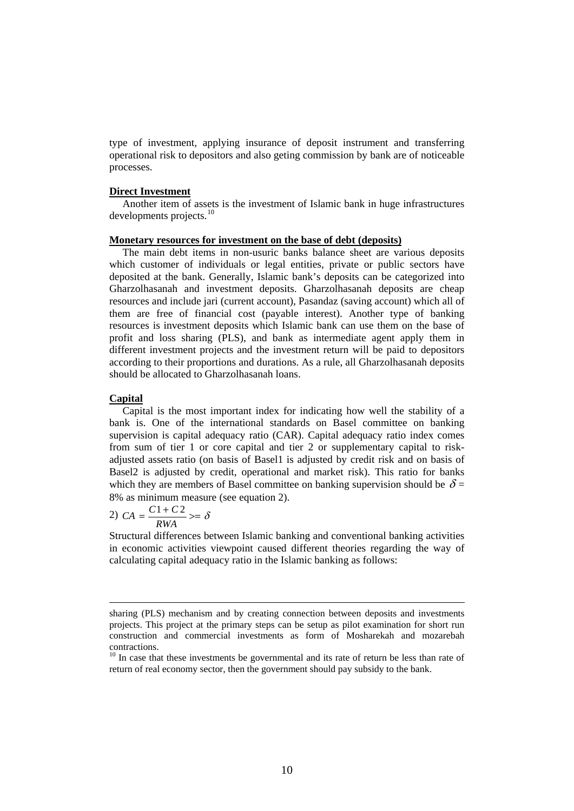type of investment, applying insurance of deposit instrument and transferring operational risk to depositors and also geting commission by bank are of noticeable processes.

#### **Direct Investment**

 Another item of assets is the investment of Islamic bank in huge infrastructures developments projects.<sup>[10](#page-9-0)</sup>

#### **Monetary resources for investment on the base of debt (deposits)**

 The main debt items in non-usuric banks balance sheet are various deposits which customer of individuals or legal entities, private or public sectors have deposited at the bank. Generally, Islamic bank's deposits can be categorized into Gharzolhasanah and investment deposits. Gharzolhasanah deposits are cheap resources and include jari (current account), Pasandaz (saving account) which all of them are free of financial cost (payable interest). Another type of banking resources is investment deposits which Islamic bank can use them on the base of profit and loss sharing (PLS), and bank as intermediate agent apply them in different investment projects and the investment return will be paid to depositors according to their proportions and durations. As a rule, all Gharzolhasanah deposits should be allocated to Gharzolhasanah loans.

### **Capital**

 $\overline{a}$ 

 Capital is the most important index for indicating how well the stability of a bank is. One of the international standards on Basel committee on banking supervision is capital adequacy ratio (CAR). Capital adequacy ratio index comes from sum of tier 1 or core capital and tier 2 or supplementary capital to riskadjusted assets ratio (on basis of Basel1 is adjusted by credit risk and on basis of Basel2 is adjusted by credit, operational and market risk). This ratio for banks which they are members of Basel committee on banking supervision should be  $\delta$  = 8% as minimum measure (see equation 2).

$$
C A = \frac{C1 + C2}{RWA} \geq \delta
$$

Structural differences between Islamic banking and conventional banking activities in economic activities viewpoint caused different theories regarding the way of calculating capital adequacy ratio in the Islamic banking as follows:

sharing (PLS) mechanism and by creating connection between deposits and investments projects. This project at the primary steps can be setup as pilot examination for short run construction and commercial investments as form of Mosharekah and mozarebah contractions.

<span id="page-9-0"></span> $10$  In case that these investments be governmental and its rate of return be less than rate of return of real economy sector, then the government should pay subsidy to the bank.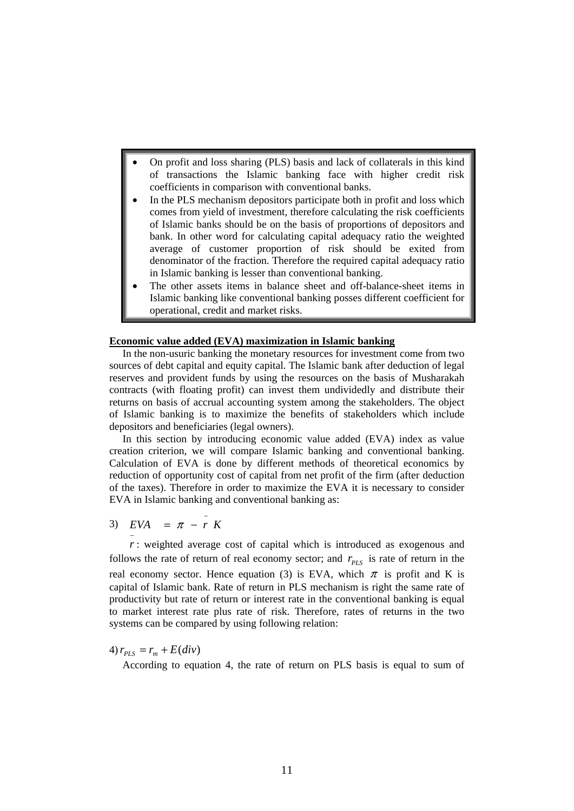- On profit and loss sharing (PLS) basis and lack of collaterals in this kind of transactions the Islamic banking face with higher credit risk coefficients in comparison with conventional banks.
- In the PLS mechanism depositors participate both in profit and loss which comes from yield of investment, therefore calculating the risk coefficients of Islamic banks should be on the basis of proportions of depositors and bank. In other word for calculating capital adequacy ratio the weighted average of customer proportion of risk should be exited from denominator of the fraction. Therefore the required capital adequacy ratio in Islamic banking is lesser than conventional banking.
- The other assets items in balance sheet and off-balance-sheet items in Islamic banking like conventional banking posses different coefficient for operational, credit and market risks.

## **Economic value added (EVA) maximization in Islamic banking**

 In the non-usuric banking the monetary resources for investment come from two sources of debt capital and equity capital. The Islamic bank after deduction of legal reserves and provident funds by using the resources on the basis of Musharakah contracts (with floating profit) can invest them undividedly and distribute their returns on basis of accrual accounting system among the stakeholders. The object of Islamic banking is to maximize the benefits of stakeholders which include depositors and beneficiaries (legal owners).

 In this section by introducing economic value added (EVA) index as value creation criterion, we will compare Islamic banking and conventional banking. Calculation of EVA is done by different methods of theoretical economics by reduction of opportunity cost of capital from net profit of the firm (after deduction of the taxes). Therefore in order to maximize the EVA it is necessary to consider EVA in Islamic banking and conventional banking as:

3)  $EVA = \pi - \frac{1}{r} K$ 

−

*r* : weighted average cost of capital which is introduced as exogenous and follows the rate of return of real economy sector; and  $r_{PLS}$  is rate of return in the real economy sector. Hence equation (3) is EVA, which  $\pi$  is profit and K is capital of Islamic bank. Rate of return in PLS mechanism is right the same rate of productivity but rate of return or interest rate in the conventional banking is equal to market interest rate plus rate of risk. Therefore, rates of returns in the two systems can be compared by using following relation:

4)  $r_{prs} = r_m + E(div)$ 

According to equation 4, the rate of return on PLS basis is equal to sum of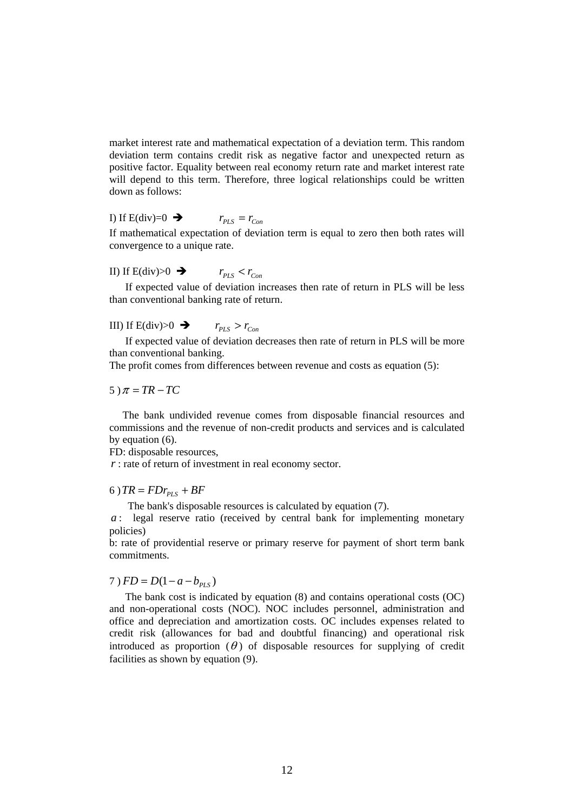market interest rate and mathematical expectation of a deviation term. This random deviation term contains credit risk as negative factor and unexpected return as positive factor. Equality between real economy return rate and market interest rate will depend to this term. Therefore, three logical relationships could be written down as follows:

# I) If E(div)=0  $\rightarrow$   $r_{PLS} = r_{Con}$

If mathematical expectation of deviation term is equal to zero then both rates will convergence to a unique rate.

# II) If  $E(\text{div})>0$   $\rightarrow$   $r_{PLS} < r_{Con}$

 If expected value of deviation increases then rate of return in PLS will be less than conventional banking rate of return.

# III) If  $E(\text{div})>0$   $\rightarrow$   $r_{pIS} > r_{Cov}$

 If expected value of deviation decreases then rate of return in PLS will be more than conventional banking.

The profit comes from differences between revenue and costs as equation (5):

$$
5)\pi = TR-TC
$$

 The bank undivided revenue comes from disposable financial resources and commissions and the revenue of non-credit products and services and is calculated by equation (6).

FD: disposable resources,

*r* : rate of return of investment in real economy sector.

6)  $TR = FDr_{PLS} + BF$ 

The bank's disposable resources is calculated by equation (7).

*a* : legal reserve ratio (received by central bank for implementing monetary policies)

b: rate of providential reserve or primary reserve for payment of short term bank commitments.

## $7) FD = D(1-a-b_{PIS})$

 The bank cost is indicated by equation (8) and contains operational costs (OC) and non-operational costs (NOC). NOC includes personnel, administration and office and depreciation and amortization costs. OC includes expenses related to credit risk (allowances for bad and doubtful financing) and operational risk introduced as proportion  $(\theta)$  of disposable resources for supplying of credit facilities as shown by equation (9).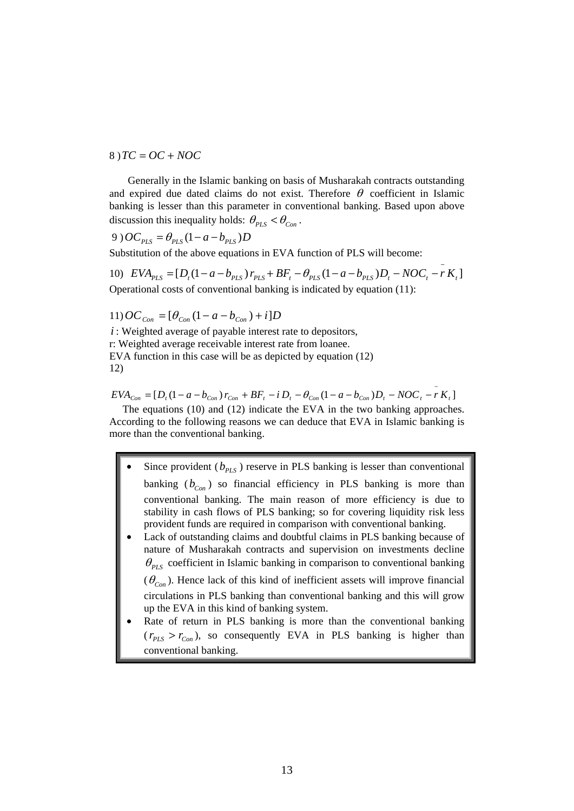$8$ )  $TC = OC + NOC$ 

 Generally in the Islamic banking on basis of Musharakah contracts outstanding and expired due dated claims do not exist. Therefore  $\theta$  coefficient in Islamic banking is lesser than this parameter in conventional banking. Based upon above discussion this inequality holds:  $\theta_{PLS} < \theta_{Con}$ .

$$
9) OC_{PLS} = \theta_{PLS} (1 - a - b_{PLS}) D
$$

Substitution of the above equations in EVA function of PLS will become:

10)  $EVA_{PLS} = [D_t(1 - a - b_{PLS})r_{PLS} + BF_t - \theta_{PLS}(1 - a - b_{PLS})D_t - NOC_t - rK_t]$ Operational costs of conventional banking is indicated by equation (11):

11)  $OC_{Con} = [\theta_{Con} (1 - a - b_{Con}) + i]D$ 

*i* : Weighted average of payable interest rate to depositors, r: Weighted average receivable interest rate from loanee. EVA function in this case will be as depicted by equation (12) 12)

 $EVA_{Con} = [D_t(1 - a - b_{Con})r_{Con} + BF_t - iD_t - \theta_{Con}(1 - a - b_{Con})D_t - NOC_t - rK_t]$ 

 The equations (10) and (12) indicate the EVA in the two banking approaches. According to the following reasons we can deduce that EVA in Islamic banking is more than the conventional banking.

- Since provident  $(b_{p_{IS}})$  reserve in PLS banking is lesser than conventional banking  $(b_{Con})$  so financial efficiency in PLS banking is more than conventional banking. The main reason of more efficiency is due to stability in cash flows of PLS banking; so for covering liquidity risk less provident funds are required in comparison with conventional banking.
- Lack of outstanding claims and doubtful claims in PLS banking because of nature of Musharakah contracts and supervision on investments decline  $\theta_{\text{PIS}}$  coefficient in Islamic banking in comparison to conventional banking  $(\theta_{\text{Con}})$ . Hence lack of this kind of inefficient assets will improve financial circulations in PLS banking than conventional banking and this will grow up the EVA in this kind of banking system.
- Rate of return in PLS banking is more than the conventional banking  $(r_{PLS} > r_{Con})$ , so consequently EVA in PLS banking is higher than conventional banking.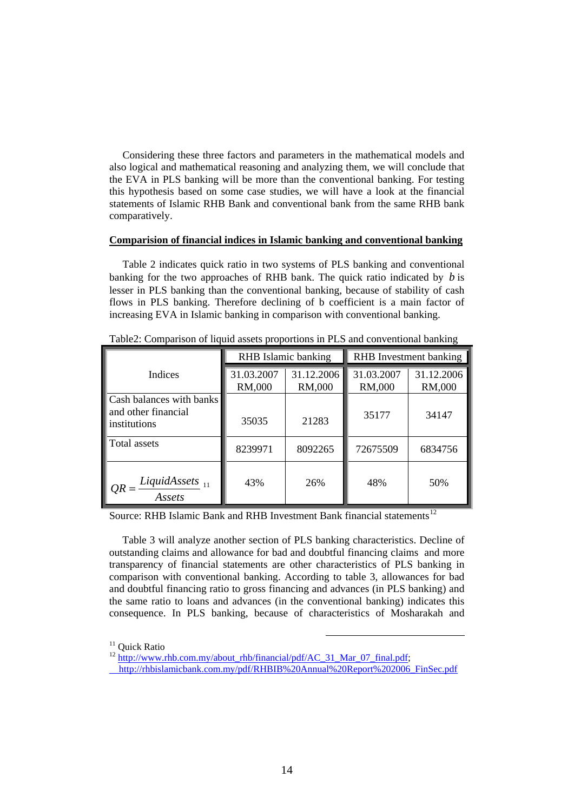Considering these three factors and parameters in the mathematical models and also logical and mathematical reasoning and analyzing them, we will conclude that the EVA in PLS banking will be more than the conventional banking. For testing this hypothesis based on some case studies, we will have a look at the financial statements of Islamic RHB Bank and conventional bank from the same RHB bank comparatively.

### **Comparision of financial indices in Islamic banking and conventional banking**

 Table 2 indicates quick ratio in two systems of PLS banking and conventional banking for the two approaches of RHB bank. The quick ratio indicated by  $b$  is lesser in PLS banking than the conventional banking, because of stability of cash flows in PLS banking. Therefore declining of b coefficient is a main factor of increasing EVA in Islamic banking in comparison with conventional banking.

|                                                                 |                      | RHB Islamic banking  | RHB Investment banking |                      |  |
|-----------------------------------------------------------------|----------------------|----------------------|------------------------|----------------------|--|
| Indices                                                         | 31.03.2007<br>RM,000 | 31.12.2006<br>RM,000 | 31.03.2007<br>RM,000   | 31.12.2006<br>RM,000 |  |
| Cash balances with banks<br>and other financial<br>institutions | 35035                | 21283                | 35177                  | 34147                |  |
| Total assets                                                    | 8239971              | 8092265              | 72675509               | 6834756              |  |
| $QR = \frac{LiquidAssets}{11}$<br>Assets                        | 43%                  | 26%                  | 48%                    | 50%                  |  |

Table2: Comparison of liquid assets proportions in PLS and conventional banking

Source: RHB Islamic Bank and RHB Investment Bank financial statements<sup>[12](#page-13-1)</sup>

 Table 3 will analyze another section of PLS banking characteristics. Decline of outstanding claims and allowance for bad and doubtful financing claims and more transparency of financial statements are other characteristics of PLS banking in comparison with conventional banking. According to table 3, allowances for bad and doubtful financing ratio to gross financing and advances (in PLS banking) and the same ratio to loans and advances (in the conventional banking) indicates this consequence. In PLS banking, because of characteristics of Mosharakah and

<span id="page-13-1"></span> $12$  [http://www.rhb.com.my/about\\_rhb/financial/pdf/AC\\_31\\_Mar\\_07\\_final.pdf](http://www.rhb.com.my/about_rhb/financial/pdf/AC_31_Mar_07_final.pdf);

<span id="page-13-0"></span><sup>&</sup>lt;sup>11</sup> Ouick Ratio

[http://rhbislamicbank.com.my/pdf/RHBIB%20Annual%20Report%202006\\_FinSec.pdf](http://rhbislamicbank.com.my/pdf/RHBIB%20Annual%20Report%202006_FinSec.pdf)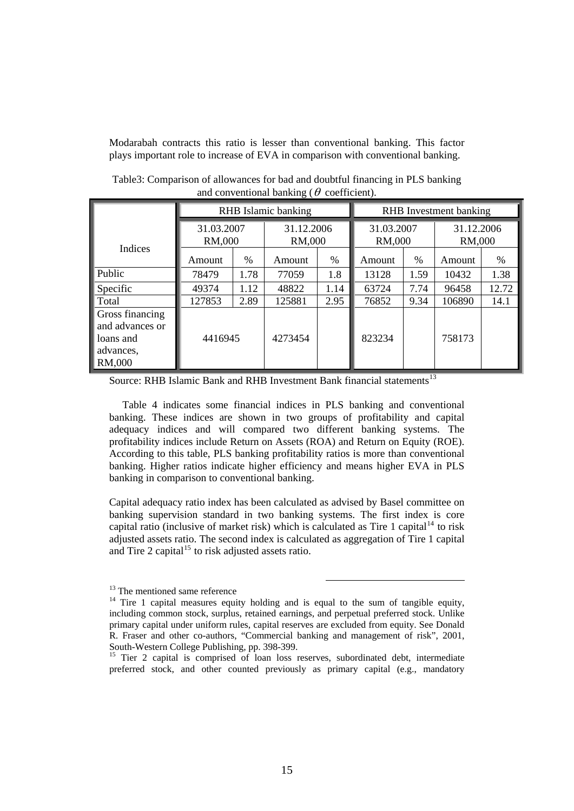Modarabah contracts this ratio is lesser than conventional banking. This factor plays important role to increase of EVA in comparison with conventional banking.

|                                                                        | RHB Islamic banking  |      |                      |      | RHB Investment banking |      |                      |       |
|------------------------------------------------------------------------|----------------------|------|----------------------|------|------------------------|------|----------------------|-------|
|                                                                        | 31.03.2007<br>RM,000 |      | 31.12.2006<br>RM,000 |      | 31.03.2007<br>RM,000   |      | 31.12.2006<br>RM,000 |       |
| Indices                                                                | Amount               | %    | Amount               | $\%$ | Amount                 | $\%$ | Amount               | %     |
| Public                                                                 | 78479                | 1.78 | 77059                | 1.8  | 13128                  | 1.59 | 10432                | 1.38  |
| Specific                                                               | 49374                | 1.12 | 48822                | 1.14 | 63724                  | 7.74 | 96458                | 12.72 |
| Total                                                                  | 127853               | 2.89 | 125881               | 2.95 | 76852                  | 9.34 | 106890               | 14.1  |
| Gross financing<br>and advances or<br>loans and<br>advances,<br>RM,000 | 4416945              |      | 4273454              |      | 823234                 |      | 758173               |       |

Table3: Comparison of allowances for bad and doubtful financing in PLS banking and conventional banking ( $\theta$  coefficient).

Source: RHB Islamic Bank and RHB Investment Bank financial statements<sup>[13](#page-14-0)</sup>

 Table 4 indicates some financial indices in PLS banking and conventional banking. These indices are shown in two groups of profitability and capital adequacy indices and will compared two different banking systems. The profitability indices include Return on Assets (ROA) and Return on Equity (ROE). According to this table, PLS banking profitability ratios is more than conventional banking. Higher ratios indicate higher efficiency and means higher EVA in PLS banking in comparison to conventional banking.

Capital adequacy ratio index has been calculated as advised by Basel committee on banking supervision standard in two banking systems. The first index is core capital ratio (inclusive of market risk) which is calculated as Tire 1 capital<sup>[14](#page-14-1)</sup> to risk adjusted assets ratio. The second index is calculated as aggregation of Tire 1 capital and Tire 2 capital<sup>[15](#page-14-2)</sup> to risk adjusted assets ratio.

<span id="page-14-0"></span><sup>&</sup>lt;sup>13</sup> The mentioned same reference

<span id="page-14-1"></span><sup>&</sup>lt;sup>14</sup> Tire 1 capital measures equity holding and is equal to the sum of tangible equity, including common stock, surplus, retained earnings, and perpetual preferred stock. Unlike primary capital under uniform rules, capital reserves are excluded from equity. See Donald R. Fraser and other co-authors, "Commercial banking and management of risk", 2001, South-Western College Publishing, pp. 398-399.

<span id="page-14-2"></span><sup>&</sup>lt;sup>15</sup> Tier 2 capital is comprised of loan loss reserves, subordinated debt, intermediate preferred stock, and other counted previously as primary capital (e.g., mandatory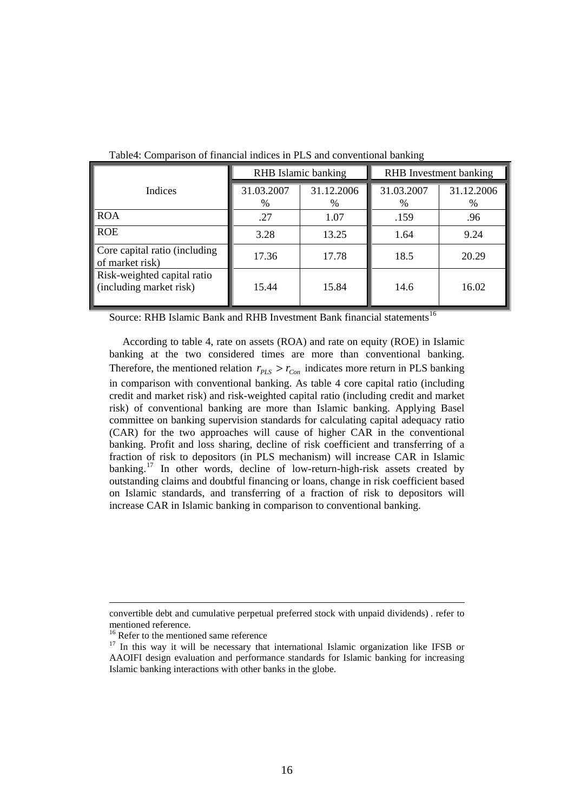| Twore it comparison of miameral marces in I list and conveniencement canning |                     |                    |                        |                 |  |  |
|------------------------------------------------------------------------------|---------------------|--------------------|------------------------|-----------------|--|--|
|                                                                              | RHB Islamic banking |                    | RHB Investment banking |                 |  |  |
| Indices                                                                      | 31.03.2007<br>$\%$  | 31.12.2006<br>$\%$ | 31.03.2007<br>%        | 31.12.2006<br>% |  |  |
| <b>ROA</b>                                                                   | .27                 | 1.07               | .159                   | .96             |  |  |
| <b>ROE</b>                                                                   | 3.28                | 13.25              | 1.64                   | 9.24            |  |  |
| Core capital ratio (including<br>of market risk)                             | 17.36               | 17.78              | 18.5                   | 20.29           |  |  |
| Risk-weighted capital ratio<br>(including market risk)                       | 15.44               | 15.84              | 14.6                   | 16.02           |  |  |

Table4: Comparison of financial indices in PLS and conventional banking

Source: RHB Islamic Bank and RHB Investment Bank financial statements<sup>[16](#page-15-0)</sup>

 According to table 4, rate on assets (ROA) and rate on equity (ROE) in Islamic banking at the two considered times are more than conventional banking. Therefore, the mentioned relation  $r_{PLS} > r_{Con}$  indicates more return in PLS banking in comparison with conventional banking. As table 4 core capital ratio (including credit and market risk) and risk-weighted capital ratio (including credit and market risk) of conventional banking are more than Islamic banking. Applying Basel committee on banking supervision standards for calculating capital adequacy ratio (CAR) for the two approaches will cause of higher CAR in the conventional banking. Profit and loss sharing, decline of risk coefficient and transferring of a fraction of risk to depositors (in PLS mechanism) will increase CAR in Islamic banking.<sup>[17](#page-15-1)</sup> In other words, decline of low-return-high-risk assets created by outstanding claims and doubtful financing or loans, change in risk coefficient based on Islamic standards, and transferring of a fraction of risk to depositors will increase CAR in Islamic banking in comparison to conventional banking.

 $\overline{a}$ 

convertible debt and cumulative perpetual preferred stock with unpaid dividends) . refer to mentioned reference.

<sup>&</sup>lt;sup>16</sup> Refer to the mentioned same reference

<span id="page-15-1"></span><span id="page-15-0"></span><sup>&</sup>lt;sup>17</sup> In this way it will be necessary that international Islamic organization like IFSB or AAOIFI design evaluation and performance standards for Islamic banking for increasing Islamic banking interactions with other banks in the globe.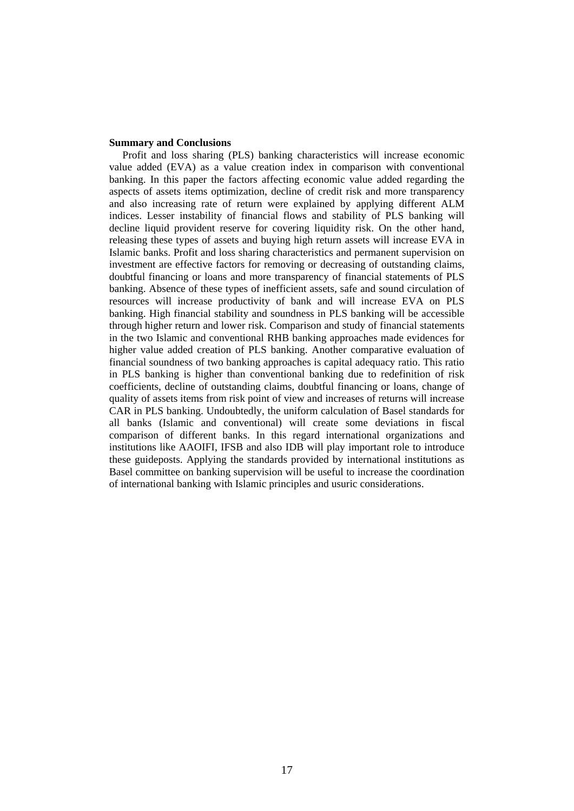#### **Summary and Conclusions**

 Profit and loss sharing (PLS) banking characteristics will increase economic value added (EVA) as a value creation index in comparison with conventional banking. In this paper the factors affecting economic value added regarding the aspects of assets items optimization, decline of credit risk and more transparency and also increasing rate of return were explained by applying different ALM indices. Lesser instability of financial flows and stability of PLS banking will decline liquid provident reserve for covering liquidity risk. On the other hand, releasing these types of assets and buying high return assets will increase EVA in Islamic banks. Profit and loss sharing characteristics and permanent supervision on investment are effective factors for removing or decreasing of outstanding claims, doubtful financing or loans and more transparency of financial statements of PLS banking. Absence of these types of inefficient assets, safe and sound circulation of resources will increase productivity of bank and will increase EVA on PLS banking. High financial stability and soundness in PLS banking will be accessible through higher return and lower risk. Comparison and study of financial statements in the two Islamic and conventional RHB banking approaches made evidences for higher value added creation of PLS banking. Another comparative evaluation of financial soundness of two banking approaches is capital adequacy ratio. This ratio in PLS banking is higher than conventional banking due to redefinition of risk coefficients, decline of outstanding claims, doubtful financing or loans, change of quality of assets items from risk point of view and increases of returns will increase CAR in PLS banking. Undoubtedly, the uniform calculation of Basel standards for all banks (Islamic and conventional) will create some deviations in fiscal comparison of different banks. In this regard international organizations and institutions like AAOIFI, IFSB and also IDB will play important role to introduce these guideposts. Applying the standards provided by international institutions as Basel committee on banking supervision will be useful to increase the coordination of international banking with Islamic principles and usuric considerations.